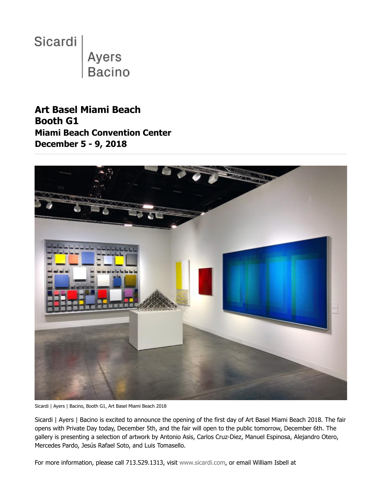

**Art Basel Miami Beach Booth G1 Miami Beach Convention Center December 5 - 9, 2018**



Sicardi | Ayers | Bacino, Booth G1, Art Basel Miami Beach 2018

Sicardi | Ayers | Bacino is excited to announce the opening of the first day of Art Basel Miami Beach 2018. The fair opens with Private Day today, December 5th, and the fair will open to the public tomorrow, December 6th. The gallery is presenting a selection of artwork by Antonio Asis, Carlos Cruz-Diez, Manuel Espinosa, Alejandro Otero, Mercedes Pardo, Jesús Rafael Soto, and Luis Tomasello.

For more information, please call 713.529.1313, visit [www.sicardi.com](http://ennouncement.exhibit-e.com/t/y-l-khtiikl-l-t/), or email William Isbell at